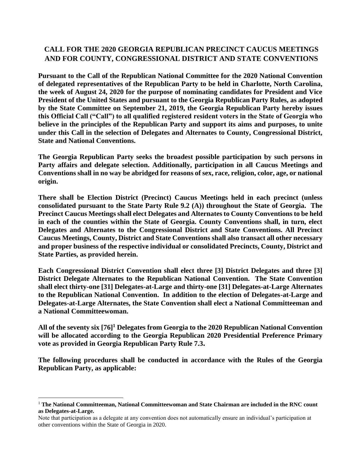# **CALL FOR THE 2020 GEORGIA REPUBLICAN PRECINCT CAUCUS MEETINGS AND FOR COUNTY, CONGRESSIONAL DISTRICT AND STATE CONVENTIONS**

**Pursuant to the Call of the Republican National Committee for the 2020 National Convention of delegated representatives of the Republican Party to be held in Charlotte, North Carolina, the week of August 24, 2020 for the purpose of nominating candidates for President and Vice President of the United States and pursuant to the Georgia Republican Party Rules, as adopted by the State Committee on September 21, 2019, the Georgia Republican Party hereby issues this Official Call ("Call") to all qualified registered resident voters in the State of Georgia who believe in the principles of the Republican Party and support its aims and purposes, to unite under this Call in the selection of Delegates and Alternates to County, Congressional District, State and National Conventions.**

**The Georgia Republican Party seeks the broadest possible participation by such persons in Party affairs and delegate selection. Additionally, participation in all Caucus Meetings and Conventions shall in no way be abridged for reasons of sex, race, religion, color, age, or national origin.**

**There shall be Election District (Precinct) Caucus Meetings held in each precinct (unless consolidated pursuant to the State Party Rule 9.2 (A)) throughout the State of Georgia. The Precinct Caucus Meetings shall elect Delegates and Alternates to County Conventions to be held in each of the counties within the State of Georgia. County Conventions shall, in turn, elect Delegates and Alternates to the Congressional District and State Conventions. All Precinct Caucus Meetings, County, District and State Conventions shall also transact all other necessary and proper business of the respective individual or consolidated Precincts, County, District and State Parties, as provided herein.**

**Each Congressional District Convention shall elect three [3] District Delegates and three [3] District Delegate Alternates to the Republican National Convention. The State Convention shall elect thirty-one [31] Delegates-at-Large and thirty-one [31] Delegates-at-Large Alternates to the Republican National Convention. In addition to the election of Delegates-at-Large and Delegates-at-Large Alternates, the State Convention shall elect a National Committeeman and a National Committeewoman.**

**All of the seventy six [76]<sup>1</sup> Delegates from Georgia to the 2020 Republican National Convention will be allocated according to the Georgia Republican 2020 Presidential Preference Primary vote as provided in Georgia Republican Party Rule 7.3.**

**The following procedures shall be conducted in accordance with the Rules of the Georgia Republican Party, as applicable:**

<sup>1</sup> **The National Committeeman, National Committeewoman and State Chairman are included in the RNC count as Delegates-at-Large.**

Note that participation as a delegate at any convention does not automatically ensure an individual's participation at other conventions within the State of Georgia in 2020.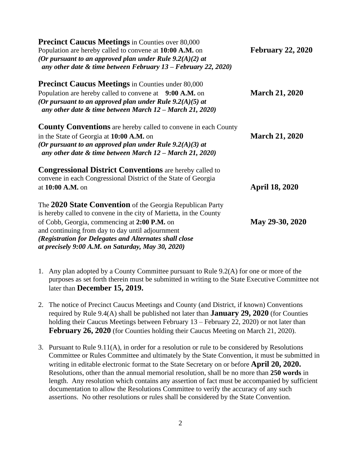| <b>Precinct Caucus Meetings</b> in Counties over 80,000<br>Population are hereby called to convene at 10:00 A.M. on<br>(Or pursuant to an approved plan under Rule $9.2(A)(2)$ at<br>any other date $\&$ time between February 13 – February 22, 2020)                                                                                             | <b>February 22, 2020</b> |
|----------------------------------------------------------------------------------------------------------------------------------------------------------------------------------------------------------------------------------------------------------------------------------------------------------------------------------------------------|--------------------------|
| <b>Precinct Caucus Meetings</b> in Counties under 80,000<br>Population are hereby called to convene at 9:00 A.M. on<br>(Or pursuant to an approved plan under Rule $9.2(A)(5)$ at<br>any other date $\&$ time between March 12 – March 21, 2020)                                                                                                   | <b>March 21, 2020</b>    |
| <b>County Conventions</b> are hereby called to convene in each County<br>in the State of Georgia at 10:00 A.M. on<br>(Or pursuant to an approved plan under Rule $9.2(A)(3)$ at<br>any other date $\&$ time between March 12 - March 21, 2020)                                                                                                     | <b>March 21, 2020</b>    |
| <b>Congressional District Conventions</b> are hereby called to<br>convene in each Congressional District of the State of Georgia<br>at 10:00 A.M. on                                                                                                                                                                                               | <b>April 18, 2020</b>    |
| The 2020 State Convention of the Georgia Republican Party<br>is hereby called to convene in the city of Marietta, in the County<br>of Cobb, Georgia, commencing at 2:00 P.M. on<br>and continuing from day to day until adjournment<br>(Registration for Delegates and Alternates shall close<br>at precisely 9:00 A.M. on Saturday, May 30, 2020) | May 29-30, 2020          |

- 1. Any plan adopted by a County Committee pursuant to Rule 9.2(A) for one or more of the purposes as set forth therein must be submitted in writing to the State Executive Committee not later than **December 15, 2019.**
- 2. The notice of Precinct Caucus Meetings and County (and District, if known) Conventions required by Rule 9.4(A) shall be published not later than **January 29, 2020** (for Counties holding their Caucus Meetings between February 13 – February 22, 2020) or not later than **February 26, 2020** (for Counties holding their Caucus Meeting on March 21, 2020).
- 3. Pursuant to Rule 9.11(A), in order for a resolution or rule to be considered by Resolutions Committee or Rules Committee and ultimately by the State Convention, it must be submitted in writing in editable electronic format to the State Secretary on or before **April 20, 2020.** Resolutions, other than the annual memorial resolution, shall be no more than **250 words** in length. Any resolution which contains any assertion of fact must be accompanied by sufficient documentation to allow the Resolutions Committee to verify the accuracy of any such assertions. No other resolutions or rules shall be considered by the State Convention.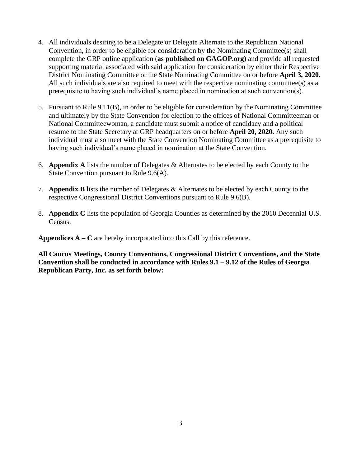- 4. All individuals desiring to be a Delegate or Delegate Alternate to the Republican National Convention, in order to be eligible for consideration by the Nominating Committee(s) shall complete the GRP online application (**as published on GAGOP.org)** and provide all requested supporting material associated with said application for consideration by either their Respective District Nominating Committee or the State Nominating Committee on or before **April 3, 2020.** All such individuals are also required to meet with the respective nominating committee(s) as a prerequisite to having such individual's name placed in nomination at such convention(s).
- 5. Pursuant to Rule 9.11(B), in order to be eligible for consideration by the Nominating Committee and ultimately by the State Convention for election to the offices of National Committeeman or National Committeewoman, a candidate must submit a notice of candidacy and a political resume to the State Secretary at GRP headquarters on or before **April 20, 2020.** Any such individual must also meet with the State Convention Nominating Committee as a prerequisite to having such individual's name placed in nomination at the State Convention.
- 6. **Appendix A** lists the number of Delegates & Alternates to be elected by each County to the State Convention pursuant to Rule 9.6(A).
- 7. **Appendix B** lists the number of Delegates & Alternates to be elected by each County to the respective Congressional District Conventions pursuant to Rule 9.6(B).
- 8. **Appendix C** lists the population of Georgia Counties as determined by the 2010 Decennial U.S. Census.

**Appendices**  $A - C$  are hereby incorporated into this Call by this reference.

**All Caucus Meetings, County Conventions, Congressional District Conventions, and the State Convention shall be conducted in accordance with Rules 9.1 – 9.12 of the Rules of Georgia Republican Party, Inc. as set forth below:**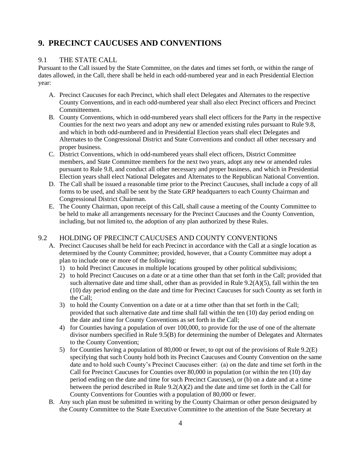# **9. PRECINCT CAUCUSES AND CONVENTIONS**

# 9.1 THE STATE CALL

Pursuant to the Call issued by the State Committee, on the dates and times set forth, or within the range of dates allowed, in the Call, there shall be held in each odd-numbered year and in each Presidential Election year:

- A. Precinct Caucuses for each Precinct, which shall elect Delegates and Alternates to the respective County Conventions, and in each odd-numbered year shall also elect Precinct officers and Precinct Committeemen.
- B. County Conventions, which in odd-numbered years shall elect officers for the Party in the respective Counties for the next two years and adopt any new or amended existing rules pursuant to Rule 9.8, and which in both odd-numbered and in Presidential Election years shall elect Delegates and Alternates to the Congressional District and State Conventions and conduct all other necessary and proper business.
- C. District Conventions, which in odd-numbered years shall elect officers, District Committee members, and State Committee members for the next two years, adopt any new or amended rules pursuant to Rule 9.8, and conduct all other necessary and proper business, and which in Presidential Election years shall elect National Delegates and Alternates to the Republican National Convention.
- D. The Call shall be issued a reasonable time prior to the Precinct Caucuses, shall include a copy of all forms to be used, and shall be sent by the State GRP headquarters to each County Chairman and Congressional District Chairman.
- E. The County Chairman, upon receipt of this Call, shall cause a meeting of the County Committee to be held to make all arrangements necessary for the Precinct Caucuses and the County Convention, including, but not limited to, the adoption of any plan authorized by these Rules.

# 9.2 HOLDING OF PRECINCT CAUCUSES AND COUNTY CONVENTIONS

- A. Precinct Caucuses shall be held for each Precinct in accordance with the Call at a single location as determined by the County Committee; provided, however, that a County Committee may adopt a plan to include one or more of the following:
	- 1) to hold Precinct Caucuses in multiple locations grouped by other political subdivisions;
	- 2) to hold Precinct Caucuses on a date or at a time other than that set forth in the Call; provided that such alternative date and time shall, other than as provided in Rule  $9.2(A)(5)$ , fall within the ten (10) day period ending on the date and time for Precinct Caucuses for such County as set forth in the Call;
	- 3) to hold the County Convention on a date or at a time other than that set forth in the Call; provided that such alternative date and time shall fall within the ten (10) day period ending on the date and time for County Conventions as set forth in the Call;
	- 4) for Counties having a population of over 100,000, to provide for the use of one of the alternate divisor numbers specified in Rule 9.5(B) for determining the number of Delegates and Alternates to the County Convention;
	- 5) for Counties having a population of 80,000 or fewer, to opt out of the provisions of Rule 9.2(E) specifying that such County hold both its Precinct Caucuses and County Convention on the same date and to hold such County's Precinct Caucuses either: (a) on the date and time set forth in the Call for Precinct Caucuses for Counties over 80,000 in population (or within the ten (10) day period ending on the date and time for such Precinct Caucuses), or (b) on a date and at a time between the period described in Rule  $9.2(A)(2)$  and the date and time set forth in the Call for County Conventions for Counties with a population of 80,000 or fewer.
- B. Any such plan must be submitted in writing by the County Chairman or other person designated by the County Committee to the State Executive Committee to the attention of the State Secretary at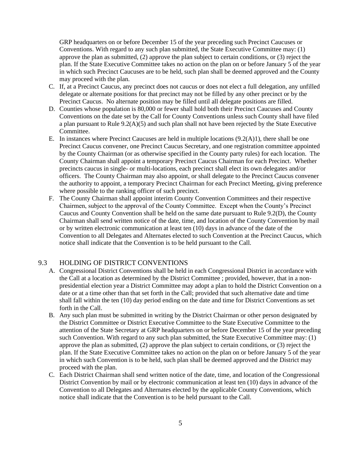GRP headquarters on or before December 15 of the year preceding such Precinct Caucuses or Conventions. With regard to any such plan submitted, the State Executive Committee may: (1) approve the plan as submitted, (2) approve the plan subject to certain conditions, or (3) reject the plan. If the State Executive Committee takes no action on the plan on or before January 5 of the year in which such Precinct Caucuses are to be held, such plan shall be deemed approved and the County may proceed with the plan.

- C. If, at a Precinct Caucus, any precinct does not caucus or does not elect a full delegation, any unfilled delegate or alternate positions for that precinct may not be filled by any other precinct or by the Precinct Caucus. No alternate position may be filled until all delegate positions are filled.
- D. Counties whose population is 80,000 or fewer shall hold both their Precinct Caucuses and County Conventions on the date set by the Call for County Conventions unless such County shall have filed a plan pursuant to Rule 9.2(A)(5) and such plan shall not have been rejected by the State Executive Committee.
- E. In instances where Precinct Caucuses are held in multiple locations (9.2(A)1), there shall be one Precinct Caucus convener, one Precinct Caucus Secretary, and one registration committee appointed by the County Chairman (or as otherwise specified in the County party rules) for each location. The County Chairman shall appoint a temporary Precinct Caucus Chairman for each Precinct. Whether precincts caucus in single- or multi-locations, each precinct shall elect its own delegates and/or officers. The County Chairman may also appoint, or shall delegate to the Precinct Caucus convener the authority to appoint, a temporary Precinct Chairman for each Precinct Meeting, giving preference where possible to the ranking officer of such precinct.
- F. The County Chairman shall appoint interim County Convention Committees and their respective Chairmen, subject to the approval of the County Committee. Except when the County's Precinct Caucus and County Convention shall be held on the same date pursuant to Rule 9.2(D), the County Chairman shall send written notice of the date, time, and location of the County Convention by mail or by written electronic communication at least ten (10) days in advance of the date of the Convention to all Delegates and Alternates elected to such Convention at the Precinct Caucus, which notice shall indicate that the Convention is to be held pursuant to the Call.

#### 9.3 HOLDING OF DISTRICT CONVENTIONS

- A. Congressional District Conventions shall be held in each Congressional District in accordance with the Call at a location as determined by the District Committee ; provided, however, that in a nonpresidential election year a District Committee may adopt a plan to hold the District Convention on a date or at a time other than that set forth in the Call; provided that such alternative date and time shall fall within the ten (10) day period ending on the date and time for District Conventions as set forth in the Call.
- B. Any such plan must be submitted in writing by the District Chairman or other person designated by the District Committee or District Executive Committee to the State Executive Committee to the attention of the State Secretary at GRP headquarters on or before December 15 of the year preceding such Convention. With regard to any such plan submitted, the State Executive Committee may: (1) approve the plan as submitted, (2) approve the plan subject to certain conditions, or (3) reject the plan. If the State Executive Committee takes no action on the plan on or before January 5 of the year in which such Convention is to be held, such plan shall be deemed approved and the District may proceed with the plan.
- C. Each District Chairman shall send written notice of the date, time, and location of the Congressional District Convention by mail or by electronic communication at least ten (10) days in advance of the Convention to all Delegates and Alternates elected by the applicable County Conventions, which notice shall indicate that the Convention is to be held pursuant to the Call.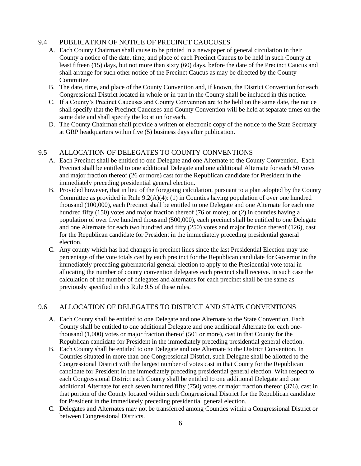# 9.4 PUBLICATION OF NOTICE OF PRECINCT CAUCUSES

- A. Each County Chairman shall cause to be printed in a newspaper of general circulation in their County a notice of the date, time, and place of each Precinct Caucus to be held in such County at least fifteen (15) days, but not more than sixty (60) days, before the date of the Precinct Caucus and shall arrange for such other notice of the Precinct Caucus as may be directed by the County Committee.
- B. The date, time, and place of the County Convention and, if known, the District Convention for each Congressional District located in whole or in part in the County shall be included in this notice.
- C. If a County's Precinct Caucuses and County Convention are to be held on the same date, the notice shall specify that the Precinct Caucuses and County Convention will be held at separate times on the same date and shall specify the location for each.
- D. The County Chairman shall provide a written or electronic copy of the notice to the State Secretary at GRP headquarters within five (5) business days after publication.

# 9.5 ALLOCATION OF DELEGATES TO COUNTY CONVENTIONS

- A. Each Precinct shall be entitled to one Delegate and one Alternate to the County Convention. Each Precinct shall be entitled to one additional Delegate and one additional Alternate for each 50 votes and major fraction thereof (26 or more) cast for the Republican candidate for President in the immediately preceding presidential general election.
- B. Provided however, that in lieu of the foregoing calculation, pursuant to a plan adopted by the County Committee as provided in Rule 9.2(A)(4): (1) in Counties having population of over one hundred thousand (100,000), each Precinct shall be entitled to one Delegate and one Alternate for each one hundred fifty (150) votes and major fraction thereof (76 or more); or (2) in counties having a population of over five hundred thousand (500,000), each precinct shall be entitled to one Delegate and one Alternate for each two hundred and fifty (250) votes and major fraction thereof (126), cast for the Republican candidate for President in the immediately preceding presidential general election.
- C. Any county which has had changes in precinct lines since the last Presidential Election may use percentage of the vote totals cast by each precinct for the Republican candidate for Governor in the immediately preceding gubernatorial general election to apply to the Presidential vote total in allocating the number of county convention delegates each precinct shall receive. In such case the calculation of the number of delegates and alternates for each precinct shall be the same as previously specified in this Rule 9.5 of these rules.

# 9.6 ALLOCATION OF DELEGATES TO DISTRICT AND STATE CONVENTIONS

- A. Each County shall be entitled to one Delegate and one Alternate to the State Convention. Each County shall be entitled to one additional Delegate and one additional Alternate for each onethousand (1,000) votes or major fraction thereof (501 or more), cast in that County for the Republican candidate for President in the immediately preceding presidential general election.
- B. Each County shall be entitled to one Delegate and one Alternate to the District Convention. In Counties situated in more than one Congressional District, such Delegate shall be allotted to the Congressional District with the largest number of votes cast in that County for the Republican candidate for President in the immediately preceding presidential general election. With respect to each Congressional District each County shall be entitled to one additional Delegate and one additional Alternate for each seven hundred fifty (750) votes or major fraction thereof (376), cast in that portion of the County located within such Congressional District for the Republican candidate for President in the immediately preceding presidential general election.
- C. Delegates and Alternates may not be transferred among Counties within a Congressional District or between Congressional Districts.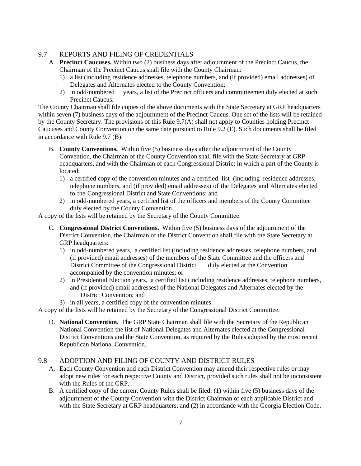# 9.7 REPORTS AND FILING OF CREDENTIALS

- A. **Precinct Caucuses.** Within two (2) business days after adjournment of the Precinct Caucus, the Chairman of the Precinct Caucus shall file with the County Chairman:
	- 1) a list (including residence addresses, telephone numbers, and (if provided) email addresses) of Delegates and Alternates elected to the County Convention;
	- 2) in odd-numbered years, a list of the Precinct officers and committeemen duly elected at such Precinct Caucus.

The County Chairman shall file copies of the above documents with the State Secretary at GRP headquarters within seven (7) business days of the adjournment of the Precinct Caucus. One set of the lists will be retained by the County Secretary. The provisions of this Rule 9.7(A) shall not apply to Counties holding Precinct Caucuses and County Convention on the same date pursuant to Rule 9.2 (E). Such documents shall be filed in accordance with Rule 9.7 (B).

- B. **County Conventions.** Within five (5) business days after the adjournment of the County Convention, the Chairman of the County Convention shall file with the State Secretary at GRP headquarters, and with the Chairman of each Congressional District in which a part of the County is located:
	- 1) a certified copy of the convention minutes and a certified list (including residence addresses, telephone numbers, and (if provided) email addresses) of the Delegates and Alternates elected to the Congressional District and State Conventions; and
	- 2) in odd-numbered years, a certified list of the officers and members of the County Committee duly elected by the County Convention.

A copy of the lists will be retained by the Secretary of the County Committee.

- C. **Congressional District Conventions.** Within five (5) business days of the adjournment of the District Convention, the Chairman of the District Convention shall file with the State Secretary at GRP headquarters:
	- 1) in odd-numbered years, a certified list (including residence addresses, telephone numbers, and (if provided) email addresses) of the members of the State Committee and the officers and District Committee of the Congressional District duly elected at the Convention accompanied by the convention minutes; or
	- 2) in Presidential Election years, a certified list (including residence addresses, telephone numbers, and (if provided) email addresses) of the National Delegates and Alternates elected by the District Convention; and
	- 3) in all years, a certified copy of the convention minutes.

A copy of the lists will be retained by the Secretary of the Congressional District Committee.

D. **National Convention.** The GRP State Chairman shall file with the Secretary of the Republican National Convention the list of National Delegates and Alternates elected at the Congressional District Conventions and the State Convention, as required by the Rules adopted by the most recent Republican National Convention.

# 9.8 ADOPTION AND FILING OF COUNTY AND DISTRICT RULES

- A. Each County Convention and each District Convention may amend their respective rules or may adopt new rules for each respective County and District, provided such rules shall not be inconsistent with the Rules of the GRP.
- B. A certified copy of the current County Rules shall be filed: (1) within five (5) business days of the adjournment of the County Convention with the District Chairman of each applicable District and with the State Secretary at GRP headquarters; and (2) in accordance with the Georgia Election Code,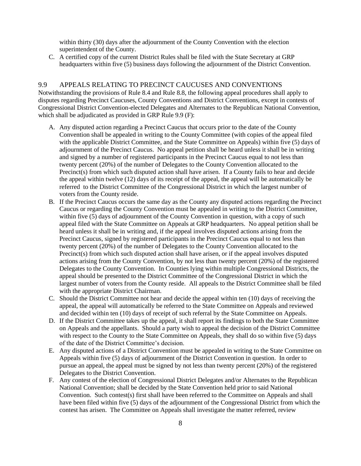within thirty (30) days after the adjournment of the County Convention with the election superintendent of the County.

C. A certified copy of the current District Rules shall be filed with the State Secretary at GRP headquarters within five (5) business days following the adjournment of the District Convention.

# 9.9 APPEALS RELATING TO PRECINCT CAUCUSES AND CONVENTIONS

Notwithstanding the provisions of Rule 8.4 and Rule 8.8, the following appeal procedures shall apply to disputes regarding Precinct Caucuses, County Conventions and District Conventions, except in contests of Congressional District Convention-elected Delegates and Alternates to the Republican National Convention, which shall be adjudicated as provided in GRP Rule 9.9 (F):

- A. Any disputed action regarding a Precinct Caucus that occurs prior to the date of the County Convention shall be appealed in writing to the County Committee (with copies of the appeal filed with the applicable District Committee, and the State Committee on Appeals) within five (5) days of adjournment of the Precinct Caucus. No appeal petition shall be heard unless it shall be in writing and signed by a number of registered participants in the Precinct Caucus equal to not less than twenty percent (20%) of the number of Delegates to the County Convention allocated to the Precinct(s) from which such disputed action shall have arisen. If a County fails to hear and decide the appeal within twelve (12) days of its receipt of the appeal, the appeal will be automatically be referred to the District Committee of the Congressional District in which the largest number of voters from the County reside.
- B. If the Precinct Caucus occurs the same day as the County any disputed actions regarding the Precinct Caucus or regarding the County Convention must be appealed in writing to the District Committee, within five (5) days of adjournment of the County Convention in question, with a copy of such appeal filed with the State Committee on Appeals at GRP headquarters. No appeal petition shall be heard unless it shall be in writing and, if the appeal involves disputed actions arising from the Precinct Caucus, signed by registered participants in the Precinct Caucus equal to not less than twenty percent (20%) of the number of Delegates to the County Convention allocated to the Precinct(s) from which such disputed action shall have arisen, or if the appeal involves disputed actions arising from the County Convention, by not less than twenty percent (20%) of the registered Delegates to the County Convention. In Counties lying within multiple Congressional Districts, the appeal should be presented to the District Committee of the Congressional District in which the largest number of voters from the County reside. All appeals to the District Committee shall be filed with the appropriate District Chairman.
- C. Should the District Committee not hear and decide the appeal within ten (10) days of receiving the appeal, the appeal will automatically be referred to the State Committee on Appeals and reviewed and decided within ten (10) days of receipt of such referral by the State Committee on Appeals.
- D. If the District Committee takes up the appeal, it shall report its findings to both the State Committee on Appeals and the appellants. Should a party wish to appeal the decision of the District Committee with respect to the County to the State Committee on Appeals, they shall do so within five (5) days of the date of the District Committee's decision.
- E. Any disputed actions of a District Convention must be appealed in writing to the State Committee on Appeals within five (5) days of adjournment of the District Convention in question. In order to pursue an appeal, the appeal must be signed by not less than twenty percent (20%) of the registered Delegates to the District Convention.
- F. Any contest of the election of Congressional District Delegates and/or Alternates to the Republican National Convention; shall be decided by the State Convention held prior to said National Convention. Such contest(s) first shall have been referred to the Committee on Appeals and shall have been filed within five (5) days of the adjournment of the Congressional District from which the contest has arisen. The Committee on Appeals shall investigate the matter referred, review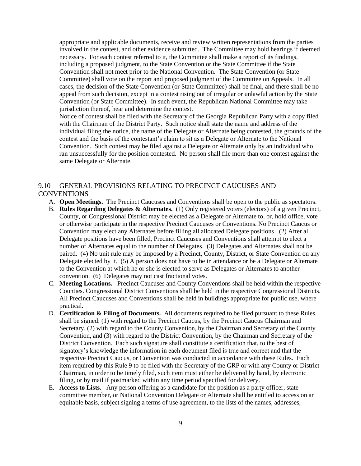appropriate and applicable documents, receive and review written representations from the parties involved in the contest, and other evidence submitted. The Committee may hold hearings if deemed necessary. For each contest referred to it, the Committee shall make a report of its findings, including a proposed judgment, to the State Convention or the State Committee if the State Convention shall not meet prior to the National Convention. The State Convention (or State Committee) shall vote on the report and proposed judgment of the Committee on Appeals. In all cases, the decision of the State Convention (or State Committee) shall be final, and there shall be no appeal from such decision, except in a contest rising out of irregular or unlawful action by the State Convention (or State Committee). In such event, the Republican National Committee may take jurisdiction thereof, hear and determine the contest.

Notice of contest shall be filed with the Secretary of the Georgia Republican Party with a copy filed with the Chairman of the District Party. Such notice shall state the name and address of the individual filing the notice, the name of the Delegate or Alternate being contested, the grounds of the contest and the basis of the contestant's claim to sit as a Delegate or Alternate to the National Convention. Such contest may be filed against a Delegate or Alternate only by an individual who ran unsuccessfully for the position contested. No person shall file more than one contest against the same Delegate or Alternate.

# 9.10 GENERAL PROVISIONS RELATING TO PRECINCT CAUCUSES AND **CONVENTIONS**

- A. **Open Meetings.** The Precinct Caucuses and Conventions shall be open to the public as spectators.
- B. **Rules Regarding Delegates & Alternates.** (1) Only registered voters (electors) of a given Precinct, County, or Congressional District may be elected as a Delegate or Alternate to, or, hold office, vote or otherwise participate in the respective Precinct Caucuses or Conventions. No Precinct Caucus or Convention may elect any Alternates before filling all allocated Delegate positions. (2) After all Delegate positions have been filled, Precinct Caucuses and Conventions shall attempt to elect a number of Alternates equal to the number of Delegates. (3) Delegates and Alternates shall not be paired. (4) No unit rule may be imposed by a Precinct, County, District, or State Convention on any Delegate elected by it. (5) A person does not have to be in attendance or be a Delegate or Alternate to the Convention at which he or she is elected to serve as Delegates or Alternates to another convention. (6) Delegates may not cast fractional votes.
- C. **Meeting Locations.** Precinct Caucuses and County Conventions shall be held within the respective Counties. Congressional District Conventions shall be held in the respective Congressional Districts. All Precinct Caucuses and Conventions shall be held in buildings appropriate for public use, where practical.
- D. **Certification & Filing of Documents.** All documents required to be filed pursuant to these Rules shall be signed: (1) with regard to the Precinct Caucus, by the Precinct Caucus Chairman and Secretary, (2) with regard to the County Convention, by the Chairman and Secretary of the County Convention, and (3) with regard to the District Convention, by the Chairman and Secretary of the District Convention. Each such signature shall constitute a certification that, to the best of signatory's knowledge the information in each document filed is true and correct and that the respective Precinct Caucus, or Convention was conducted in accordance with these Rules. Each item required by this Rule 9 to be filed with the Secretary of the GRP or with any County or District Chairman, in order to be timely filed, such item must either be delivered by hand, by electronic filing, or by mail if postmarked within any time period specified for delivery.
- E. **Access to Lists.** Any person offering as a candidate for the position as a party officer, state committee member, or National Convention Delegate or Alternate shall be entitled to access on an equitable basis, subject signing a terms of use agreement, to the lists of the names, addresses,